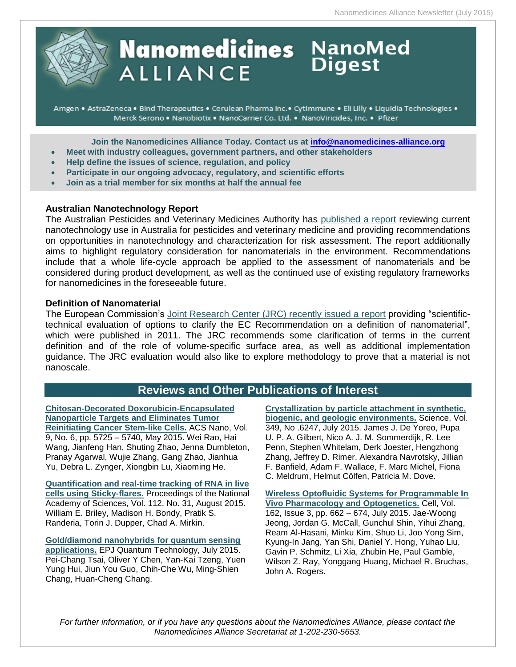

# **Nanomedicines** NanoMed **ALLIANCE**

Amgen • AstraZeneca • Bind Therapeutics • Cerulean Pharma Inc. • CytImmune • Eli Lilly • Liquidia Technologies • Merck Serono . Nanobiotix . NanoCarrier Co. Ltd. . NanoViricides, Inc. . Pfizer

**Join the Nanomedicines Alliance Today. Contact us at [info@nanomedicines-alliance.org](file:///C:/NRPortbl/ACTIVE/ROBERTAF/info@nanomedicines-alliance.org)**

- **Meet with industry colleagues, government partners, and other stakeholders**
- **Relp define the issues of science, regulation, and policy**
- **Participate in our ongoing advocacy, regulatory, and scientific efforts**
- **Join as a trial member for six months at half the annual fee**

### **Australian Nanotechnology Report**

The Australian Pesticides and Veterinary Medicines Authority has [published a report](http://apvma.gov.au/sites/default/files/publication/15626-nanotechnologies-pesticides-veterinary-medicines_regulatory-considerations_july2015.pdf) reviewing current nanotechnology use in Australia for pesticides and veterinary medicine and providing recommendations on opportunities in nanotechnology and characterization for risk assessment. The report additionally aims to highlight regulatory consideration for nanomaterials in the environment. Recommendations include that a whole life-cycle approach be applied to the assessment of nanomaterials and be considered during product development, as well as the continued use of existing regulatory frameworks for nanomedicines in the foreseeable future.

### **Definition of Nanomaterial**

The European Commission's [Joint Research Center \(JRC\) recently issued a report](https://ec.europa.eu/jrc/en/publication/eur-scientific-and-technical-research-reports/towards-review-ec-recommendation-definition-term-nanomaterial-part-3-scientific-technical) providing "scientifictechnical evaluation of options to clarify the EC Recommendation on a definition of nanomaterial", which were published in 2011. The JRC recommends some clarification of terms in the current definition and of the role of volume-specific surface area, as well as additional implementation guidance. The JRC evaluation would also like to explore methodology to prove that a material is not nanoscale.

## **Reviews and Other Publications of Interest**

**[Chitosan-Decorated Doxorubicin-Encapsulated](http://pubs.acs.org/doi/abs/10.1021/nn506928p)  [Nanoparticle Targets and Eliminates Tumor](http://pubs.acs.org/doi/abs/10.1021/nn506928p)  [Reinitiating Cancer Stem-like Cells.](http://pubs.acs.org/doi/abs/10.1021/nn506928p)** ACS Nano, Vol. 9, No. 6, pp. 5725 – 5740, May 2015. Wei Rao, Hai Wang, Jianfeng Han, Shuting Zhao, Jenna Dumbleton, Pranay Agarwal, Wujie Zhang, Gang Zhao, Jianhua Yu, Debra L. Zynger, Xiongbin Lu, Xiaoming He.

**[Quantification and real-time tracking of RNA in live](http://www.pnas.org/content/112/31/9591)  [cells using Sticky-flares.](http://www.pnas.org/content/112/31/9591)** Proceedings of the National Academy of Sciences, Vol. 112, No. 31, August 2015. William E. Briley, Madison H. Bondy, Pratik S. Randeria, Torin J. Dupper, Chad A. Mirkin.

**[Gold/diamond nanohybrids for quantum sensing](http://www.epjquantumtechnology.com/content/2/1/19)  [applications.](http://www.epjquantumtechnology.com/content/2/1/19)** EPJ Quantum Technology, July 2015. Pei-Chang Tsai, Oliver Y Chen, Yan-Kai Tzeng, Yuen Yung Hui, Jiun You Guo, Chih-Che Wu, Ming-Shien Chang, Huan-Cheng Chang.

**[Crystallization by particle attachment in synthetic,](http://www.sciencemag.org/content/349/6247/aaa6760)  [biogenic, and geologic environments.](http://www.sciencemag.org/content/349/6247/aaa6760)** Science, Vol. 349, No .6247, July 2015. James J. De Yoreo, Pupa U. P. A. Gilbert, Nico A. J. M. Sommerdijk, R. Lee Penn, Stephen Whitelam, Derk Joester, Hengzhong Zhang, Jeffrey D. Rimer, Alexandra Navrotsky, Jillian F. Banfield, Adam F. Wallace, F. Marc Michel, Fiona C. Meldrum, Helmut Cölfen, Patricia M. Dove.

**[Wireless Optofluidic Systems for Programmable In](http://www.cell.com/cell/abstract/S0092-8674%2815%2900828-4?_returnURL=http%3A%2F%2Flinkinghub.elsevier.com%2Fretrieve%2Fpii%2FS0092867415008284%3Fshowall%3Dtrue)  [Vivo Pharmacology and Optogenetics.](http://www.cell.com/cell/abstract/S0092-8674%2815%2900828-4?_returnURL=http%3A%2F%2Flinkinghub.elsevier.com%2Fretrieve%2Fpii%2FS0092867415008284%3Fshowall%3Dtrue)** Cell, Vol. 162, Issue 3, pp. 662 – 674, July 2015. Jae-Woong Jeong, Jordan G. McCall, Gunchul Shin, Yihui Zhang, Ream Al-Hasani, Minku Kim, Shuo Li, Joo Yong Sim, Kyung-In Jang, Yan Shi, Daniel Y. Hong, Yuhao Liu, Gavin P. Schmitz, Li Xia, Zhubin He, Paul Gamble, Wilson Z. Ray, Yonggang Huang, Michael R. Bruchas, John A. Rogers.

*For further information, or if you have any questions about the Nanomedicines Alliance, please contact the Nanomedicines Alliance Secretariat at 1-202-230-5653.*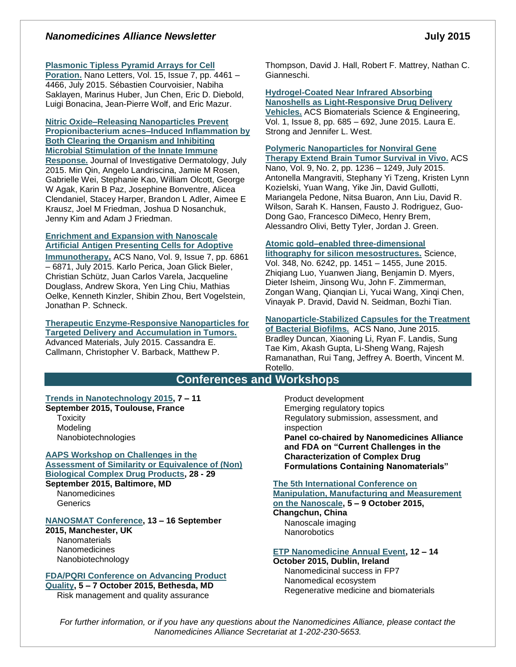### *Nanomedicines Alliance Newsletter* **July** 2015

#### **[Plasmonic Tipless Pyramid Arrays for Cell](file:///C:/NRPortbl/ACTIVE/ROBERTAF/Plasmonic%20Tipless%20Pyramid%20Arrays%20for%20Cell%20Poration)**

**[Poration.](file:///C:/NRPortbl/ACTIVE/ROBERTAF/Plasmonic%20Tipless%20Pyramid%20Arrays%20for%20Cell%20Poration)** Nano Letters, Vol. 15, Issue 7, pp. 4461 – 4466, July 2015. Sébastien Courvoisier, Nabiha Saklayen, Marinus Huber, Jun Chen, Eric D. Diebold, Luigi Bonacina, Jean-Pierre Wolf, and Eric Mazur.

#### **[Nitric Oxide–Releasing Nanoparticles Prevent](http://www.nature.com/jid/journal/vaop/ncurrent/full/jid2015277a.html)  [Propionibacterium acnes–Induced Inflammation by](http://www.nature.com/jid/journal/vaop/ncurrent/full/jid2015277a.html)  [Both Clearing the Organism and Inhibiting](http://www.nature.com/jid/journal/vaop/ncurrent/full/jid2015277a.html)  [Microbial Stimulation of the Innate Immune](http://www.nature.com/jid/journal/vaop/ncurrent/full/jid2015277a.html)  [Response.](http://www.nature.com/jid/journal/vaop/ncurrent/full/jid2015277a.html)** Journal of Investigative Dermatology, July 2015. Min Qin, Angelo Landriscina, Jamie M Rosen, Gabrielle Wei, Stephanie Kao, William Olcott, George W Agak, Karin B Paz, Josephine Bonventre, Alicea Clendaniel, Stacey Harper, Brandon L Adler, Aimee E Krausz, Joel M Friedman, Joshua D Nosanchuk, Jenny Kim and Adam J Friedman.

#### **[Enrichment and Expansion with Nanoscale](http://pubs.acs.org/doi/abs/10.1021/acsnano.5b02829)  [Artificial Antigen Presenting Cells for Adoptive](http://pubs.acs.org/doi/abs/10.1021/acsnano.5b02829)**

**[Immunotherapy](http://pubs.acs.org/doi/abs/10.1021/acsnano.5b02829).** ACS Nano, Vol. 9, Issue 7, pp. 6861 – 6871, July 2015. Karlo Perica, Joan Glick Bieler, Christian Schütz, Juan Carlos Varela, Jacqueline Douglass, Andrew Skora, Yen Ling Chiu, Mathias Oelke, Kenneth Kinzler, Shibin Zhou, Bert Vogelstein, Jonathan P. Schneck.

#### **[Therapeutic Enzyme-Responsive Nanoparticles for](http://onlinelibrary.wiley.com/doi/10.1002/adma.201501803/abstract)  [Targeted Delivery and Accumulation in Tumors.](http://onlinelibrary.wiley.com/doi/10.1002/adma.201501803/abstract)** Advanced Materials, July 2015. Cassandra E. Callmann, Christopher V. Barback, Matthew P.

Thompson, David J. Hall, Robert F. Mattrey, Nathan C. Gianneschi.

### **[Hydrogel-Coated Near Infrared Absorbing](http://pubs.acs.org/doi/abs/10.1021/acsbiomaterials.5b00111)  [Nanoshells as Light-Responsive Drug Delivery](http://pubs.acs.org/doi/abs/10.1021/acsbiomaterials.5b00111)  [Vehicles.](http://pubs.acs.org/doi/abs/10.1021/acsbiomaterials.5b00111)** ACS Biomaterials Science & Engineering,

Vol. 1, Issue 8, pp. 685 – 692, June 2015. Laura E. Strong and Jennifer L. West.

### **[Polymeric Nanoparticles for Nonviral Gene](http://pubs.acs.org/doi/abs/10.1021/nn504905q)**

**[Therapy Extend Brain Tumor Survival in Vivo.](http://pubs.acs.org/doi/abs/10.1021/nn504905q)** ACS Nano, Vol. 9, No. 2, pp. 1236 – 1249, July 2015. Antonella Mangraviti, Stephany Yi Tzeng, Kristen Lynn Kozielski, Yuan Wang, Yike Jin, David Gullotti, Mariangela Pedone, Nitsa Buaron, Ann Liu, David R. Wilson, Sarah K. Hansen, Fausto J. Rodriguez, Guo-Dong Gao, Francesco DiMeco, Henry Brem, Alessandro Olivi, Betty Tyler, Jordan J. Green.

#### **[Atomic gold–enabled three-dimensional](http://www.sciencemag.org/content/348/6242/1451)**

**[lithography for silicon mesostructures.](http://www.sciencemag.org/content/348/6242/1451)** Science, Vol. 348, No. 6242, pp. 1451 – 1455, June 2015. Zhiqiang Luo, Yuanwen Jiang, Benjamin D. Myers, Dieter Isheim, Jinsong Wu, John F. Zimmerman, Zongan Wang, Qianqian Li, Yucai Wang, Xinqi Chen, Vinayak P. Dravid, David N. Seidman, Bozhi Tian.

### **[Nanoparticle-Stabilized Capsules for the Treatment](http://pubs.acs.org/doi/abs/10.1021/acsnano.5b01696)**

**[of Bacterial Biofilms.](http://pubs.acs.org/doi/abs/10.1021/acsnano.5b01696)** ACS Nano, June 2015. Bradley Duncan, Xiaoning Li, Ryan F. Landis, Sung Tae Kim, Akash Gupta, Li-Sheng Wang, Rajesh Ramanathan, Rui Tang, Jeffrey A. Boerth, Vincent M. Rotello.

### **Conferences and Workshops**

#### **[Trends in Nanotechnology 2015,](http://www.tntconf.org/2015/index.php?conf=15) 7 – 11 September 2015, Toulouse, France**

**Toxicity Modeling** Nanobiotechnologies

**AAPS [Workshop on Challenges in the](http://www.aaps.org/CDP/)  [Assessment of Similarity or Equivalence of \(Non\)](http://www.aaps.org/CDP/)  [Biological Complex Drug Products,](http://www.aaps.org/CDP/) 28 - 29 September 2015, Baltimore, MD**

**Nanomedicines Generics** 

### **[NANOSMAT Conference,](http://www.nanosmat-conference.com/default.asp) 13 – 16 September**

**2015, Manchester, UK Nanomaterials** Nanomedicines Nanobiotechnology

### **[FDA/PQRI Conference on Advancing Product](http://www.pqri.org/Preliminary%20Program.2nd%20FDA.PQRI%20Conference.pdf)**

**[Quality,](http://www.pqri.org/Preliminary%20Program.2nd%20FDA.PQRI%20Conference.pdf) 5 – 7 October 2015, Bethesda, MD** Risk management and quality assurance

Product development Emerging regulatory topics Regulatory submission, assessment, and inspection **Panel co-chaired by Nanomedicines Alliance** 

**and FDA on "Current Challenges in the Characterization of Complex Drug Formulations Containing Nanomaterials"**

#### **[The 5th International Conference on](http://www.3m-nano.org/2015/main/index.asp)  [Manipulation, Manufacturing and Measurement](http://www.3m-nano.org/2015/main/index.asp)**

### **[on the Nanoscale,](http://www.3m-nano.org/2015/main/index.asp) 5 – 9 October 2015,**

**Changchun, China** Nanoscale imaging **Nanorobotics** 

#### **[ETP Nanomedicine Annual Event,](http://www.etp-nanomedicine.eu/public/news-events/events/etpn-annual-event-2015/etp-nanomedicine-annual-event-2015) 12 – 14**

**October 2015, Dublin, Ireland** Nanomedicinal success in FP7 Nanomedical ecosystem Regenerative medicine and biomaterials

*For further information, or if you have any questions about the Nanomedicines Alliance, please contact the Nanomedicines Alliance Secretariat at 1-202-230-5653.*